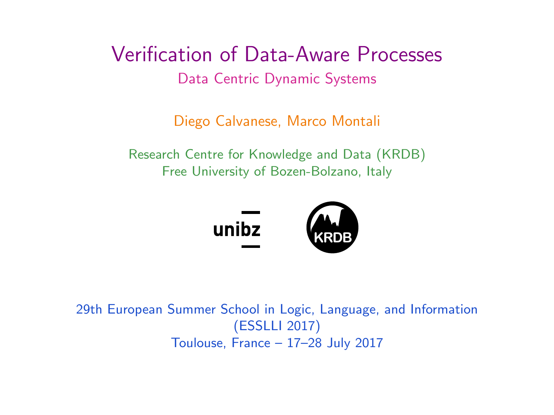<span id="page-0-1"></span><span id="page-0-0"></span>Verification of Data-Aware Processes Data Centric Dynamic Systems

Diego Calvanese, Marco Montali

Research Centre for Knowledge and Data (KRDB) Free University of Bozen-Bolzano, Italy



29th European Summer School in Logic, Language, and Information (ESSLLI 2017) Toulouse, France – 17–28 July 2017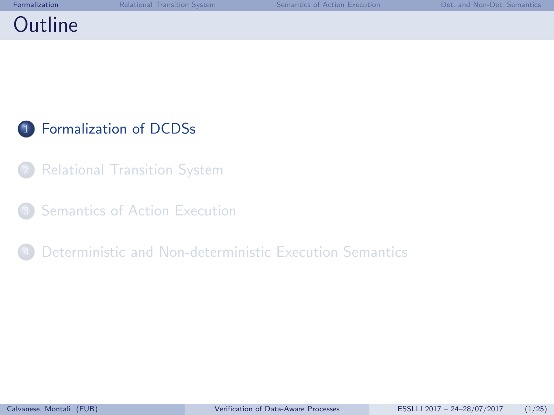## <span id="page-1-0"></span>**Outline**

<sup>1</sup> [Formalization of DCDSs](#page-1-0)

- **[Relational Transition System](#page-15-0)**
- **[Semantics of Action Execution](#page-20-0)**
- [Deterministic and Non-deterministic Execution Semantics](#page-0-0)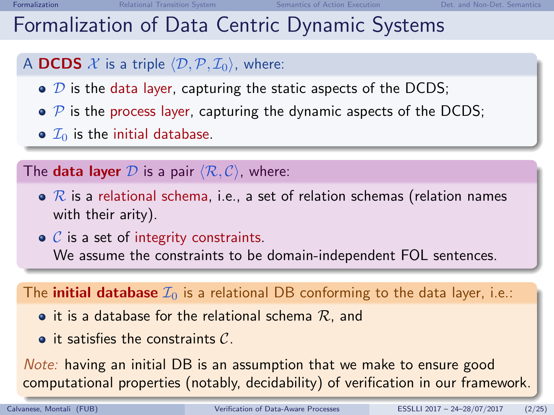## Formalization of Data Centric Dynamic Systems

#### A DCDS  $X$  is a triple  $\langle \mathcal{D}, \mathcal{P}, \mathcal{I}_0 \rangle$ , where:

- $\bullet$   $\mathcal D$  is the data layer, capturing the static aspects of the DCDS;
- $\bullet$   $\circ$  is the process layer, capturing the dynamic aspects of the DCDS;
- $\bullet$   $\mathcal{I}_0$  is the initial database.

The **data layer** D is a pair  $\langle \mathcal{R}, \mathcal{C} \rangle$ , where:

- $\bullet$  R is a relational schema, i.e., a set of relation schemas (relation names with their arity).
- $\bullet$   $\mathcal C$  is a set of integrity constraints. We assume the constraints to be domain-independent FOL sentences.

The **initial database**  $\mathcal{I}_0$  is a relational DB conforming to the data layer, i.e.:

- $\bullet$  it is a database for the relational schema  $\mathcal{R}$ , and
- $\bullet$  it satisfies the constraints  $\mathcal{C}$ .

Note: having an initial DB is an assumption that we make to ensure good computational properties (notably, decidability) of verification in our framework.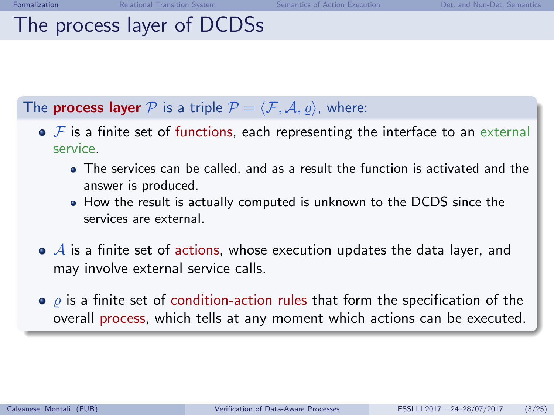### The process layer of DCDSs

#### The **process layer** P is a triple  $P = \langle F, A, \rho \rangle$ , where:

- $\bullet$  F is a finite set of functions, each representing the interface to an external service.
	- The services can be called, and as a result the function is activated and the answer is produced.
	- How the result is actually computed is unknown to the DCDS since the services are external.
- $\bullet$   $\mathcal A$  is a finite set of actions, whose execution updates the data layer, and may involve external service calls.
- $\bullet$   $\rho$  is a finite set of condition-action rules that form the specification of the overall process, which tells at any moment which actions can be executed.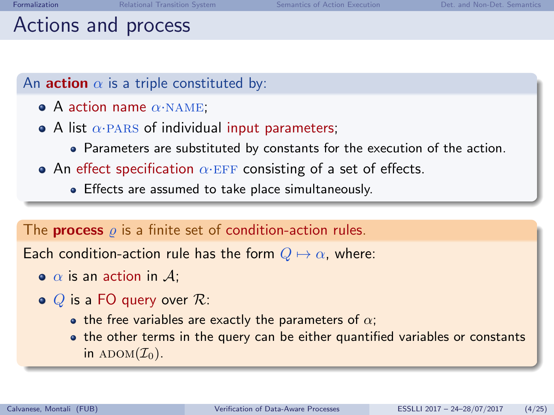## Actions and process

#### An **action**  $\alpha$  is a triple constituted by:

- $\bullet$  A action name  $\alpha$ ·NAME:
- A list  $\alpha$  PARS of individual input parameters;
	- Parameters are substituted by constants for the execution of the action.
- An effect specification  $\alpha$  EFF consisting of a set of effects.
	- Effects are assumed to take place simultaneously.

#### The **process**  $\rho$  is a finite set of condition-action rules.

Each condition-action rule has the form  $Q \mapsto \alpha$ , where:

- $\bullet$   $\alpha$  is an action in  $\mathcal{A}$ ;
- $\bullet$  Q is a FO query over  $\mathcal{R}$ :
	- the free variables are exactly the parameters of  $\alpha$ ;
	- the other terms in the query can be either quantified variables or constants in  $\text{ADOM}(\mathcal{I}_0)$ .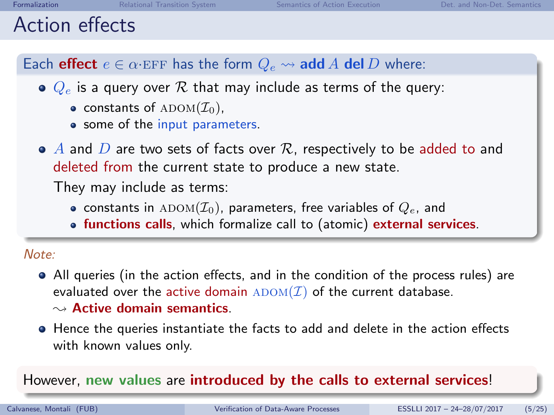### Action effects

Each **effect**  $e \in \alpha$ ·EFF has the form  $Q_e \rightsquigarrow$  **add** A del D where:

- $\bullet$   $Q_e$  is a query over R that may include as terms of the query:
	- constants of  $\text{ADOM}(\mathcal{I}_0)$ ,
	- some of the input parameters.
- $\bullet$  A and D are two sets of facts over R, respectively to be added to and deleted from the current state to produce a new state.

They may include as terms:

- constants in ADOM( $\mathcal{I}_0$ ), parameters, free variables of  $Q_e$ , and
- **o** functions calls, which formalize call to (atomic) external services.

#### Note:

- All queries (in the action effects, and in the condition of the process rules) are evaluated over the active domain  $\text{ADOM}(\mathcal{I})$  of the current database.  $\sim$  Active domain semantics.
- Hence the queries instantiate the facts to add and delete in the action effects with known values only.

#### However, new values are introduced by the calls to external services!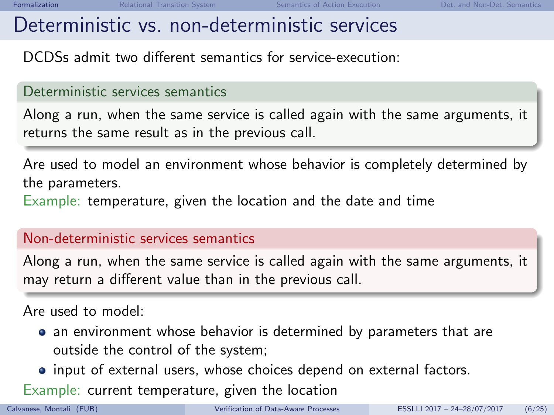### Deterministic vs. non-deterministic services

DCDSs admit two different semantics for service-execution:

#### Deterministic services semantics

Along a run, when the same service is called again with the same arguments, it returns the same result as in the previous call.

Are used to model an environment whose behavior is completely determined by the parameters.

Example: temperature, given the location and the date and time

#### Non-deterministic services semantics

Along a run, when the same service is called again with the same arguments, it may return a different value than in the previous call.

#### Are used to model:

- an environment whose behavior is determined by parameters that are outside the control of the system;
- input of external users, whose choices depend on external factors.

Example: current temperature, given the location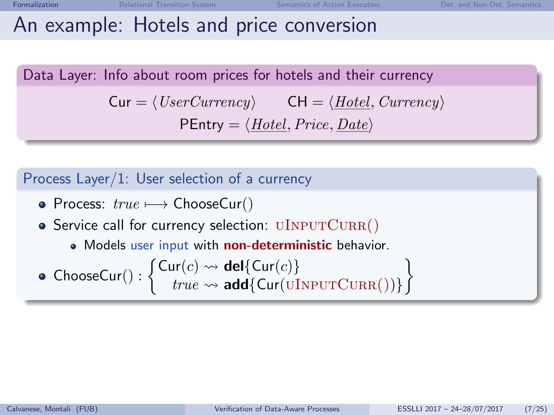#### An example: Hotels and price conversion

Data Layer: Info about room prices for hotels and their currency  $Cur = \langle UserCurrent \rangle$  CH =  $\langle Hotel, Current \rangle$  $P_{\text{Entry}} = \langle Hotel, Price, Date \rangle$ 

Process Layer/1: User selection of a currency

- Process: true  $\longmapsto$  ChooseCur()
- Service call for currency selection:  $\text{UINPUTCURR}()$ 
	- Models user input with non-deterministic behavior.

$$
\bullet \ \ \textsf{ChooseCur}(): \left\{ \begin{aligned} \textsf{Cur}(c) &\rightsquigarrow \textsf{del}\{\textsf{Cur}(c)\} \\ \textit{true} &\rightsquigarrow \textsf{add}\{\textsf{Cur}(\textsf{UINPUTCURR}))\} \end{aligned} \right\}
$$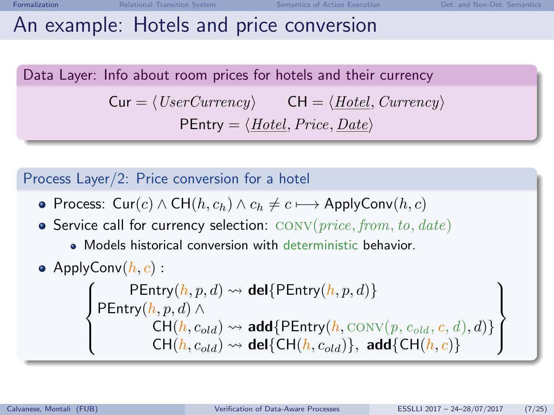## An example: Hotels and price conversion

Data Layer: Info about room prices for hotels and their currency  $Cur = \langle UserCurrent \rangle$  CH =  $\langle Hotel, Current \rangle$  $P_{\text{Entry}} = \langle Hotel, Price, Date \rangle$ 

Process Layer/2: Price conversion for a hotel

- Process: Cur $(c) \wedge \text{CH}(h, c_h) \wedge c_h \neq c \longmapsto \text{ApplyConv}(h, c)$
- Service call for currency selection:  $CONV(price, from, to, date)$ 
	- Models historical conversion with deterministic behavior.

• ApplyConv
$$
(h, c)
$$
:

 $\sqrt{ }$ PEntry $(h, p, d) \wedge$  $\overline{\mathcal{L}}$ PEntry $(h, p, d) \rightsquigarrow$  del{PEntry $(h, p, d)$ }  $\mathsf{CH}(h,c_{old}) \rightsquigarrow \mathsf{add}\{\mathsf{PEntry}(h,\mathrm{CONV}(p,c_{old},c,d),d)\}$  $\mathsf{CH}(h, c_{old}) \rightsquigarrow \mathsf{del}\{\mathsf{CH}(h, c_{old})\}, \; \mathsf{add}\{\mathsf{CH}(h, c)\}$ 

 $\lambda$  $\overline{\mathcal{L}}$ 

 $\int$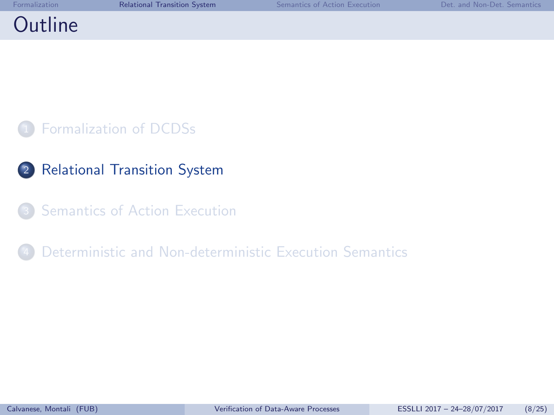### **Outline**

[Formalization of DCDSs](#page-1-0)

- <sup>2</sup> [Relational Transition System](#page-15-0)
- **[Semantics of Action Execution](#page-20-0)**

[Deterministic and Non-deterministic Execution Semantics](#page-0-0)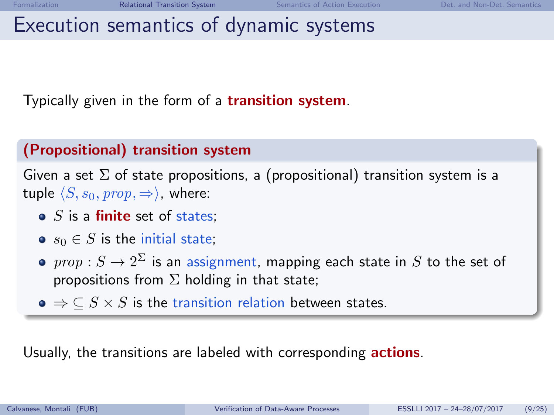## Execution semantics of dynamic systems

Typically given in the form of a **transition system**.

#### (Propositional) transition system

Given a set  $\Sigma$  of state propositions, a (propositional) transition system is a tuple  $\langle S, s_0, prop, \Rightarrow \rangle$ , where:

- $\bullet$  S is a finite set of states:
- $s_0 \in S$  is the initial state;
- $prop:S\to 2^\Sigma$  is an assignment, mapping each state in  $S$  to the set of propositions from  $\Sigma$  holding in that state;
- $\bullet \Rightarrow \subseteq S \times S$  is the transition relation between states.

Usually, the transitions are labeled with corresponding **actions**.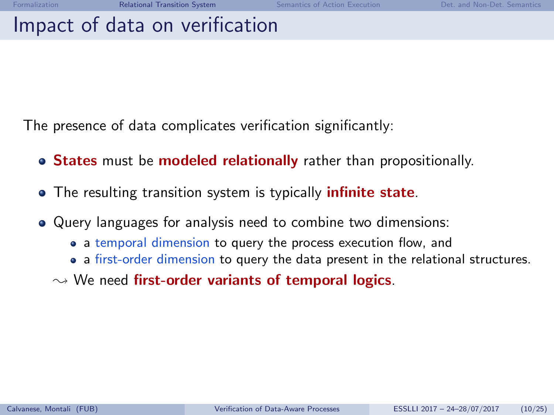### Impact of data on verification

The presence of data complicates verification significantly:

- **States** must be **modeled relationally** rather than propositionally.
- The resulting transition system is typically **infinite state**.
- Query languages for analysis need to combine two dimensions:
	- a temporal dimension to query the process execution flow, and
	- a first-order dimension to query the data present in the relational structures.
	- $\rightsquigarrow$  We need first-order variants of temporal logics.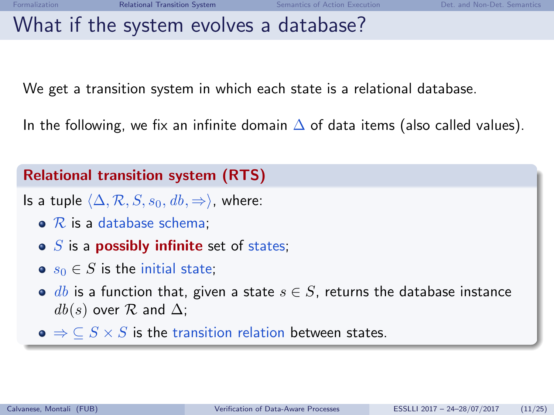## What if the system evolves a database?

We get a transition system in which each state is a relational database.

In the following, we fix an infinite domain  $\Delta$  of data items (also called values).

### Relational transition system (RTS) Is a tuple  $\langle \Delta, \mathcal{R}, S, s_0, db, \Rightarrow \rangle$ , where:  $\bullet$   $\mathcal{R}$  is a database schema;  $\bullet$  S is a **possibly infinite** set of states; •  $s_0 \in S$  is the initial state;  $\bullet$  db is a function that, given a state  $s \in S$ , returns the database instance  $db(s)$  over  $\mathcal R$  and  $\Delta$ ;  $\bullet \Rightarrow \subseteq S \times S$  is the transition relation between states.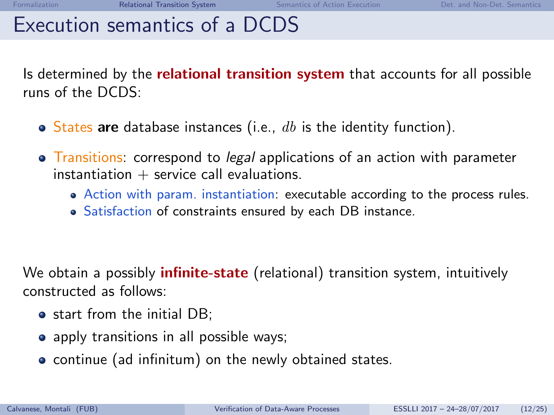### Execution semantics of a DCDS

Is determined by the **relational transition system** that accounts for all possible runs of the DCDS:

- $\bullet$  States are database instances (i.e.,  $db$  is the identity function).
- Transitions: correspond to legal applications of an action with parameter instantiation  $+$  service call evaluations.
	- Action with param. instantiation: executable according to the process rules.
	- Satisfaction of constraints ensured by each DB instance.

We obtain a possibly **infinite-state** (relational) transition system, intuitively constructed as follows:

- start from the initial DB:
- apply transitions in all possible ways;
- **•** continue (ad infinitum) on the newly obtained states.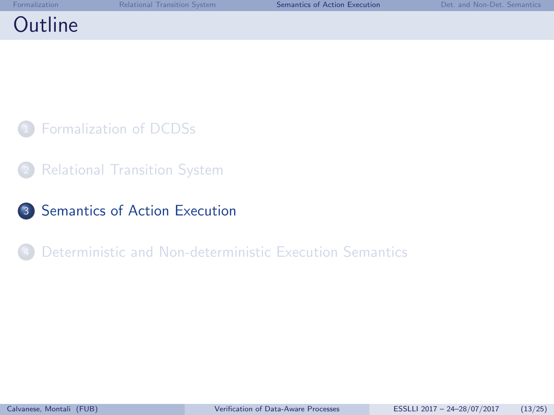## **Outline**

[Formalization of DCDSs](#page-1-0)

- **[Relational Transition System](#page-15-0)**
- <sup>3</sup> [Semantics of Action Execution](#page-20-0)

[Deterministic and Non-deterministic Execution Semantics](#page-0-0)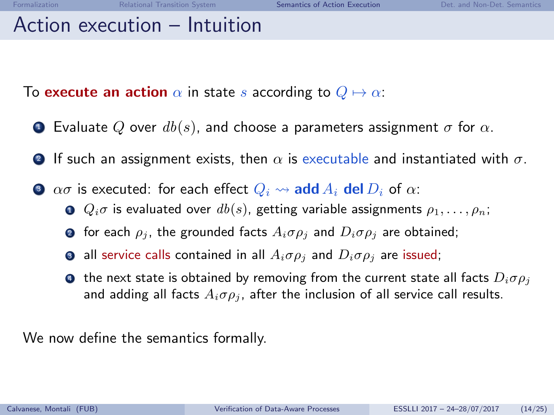## <span id="page-15-0"></span>Action execution – Intuition

To execute an action  $\alpha$  in state s according to  $Q \mapsto \alpha$ :

- **1** Evaluate Q over  $db(s)$ , and choose a parameters assignment  $\sigma$  for  $\alpha$ .
- **2** If such an assignment exists, then  $\alpha$  is executable and instantiated with  $\sigma$ .
- $\bullet$   $\alpha\sigma$  is executed: for each effect  $Q_i \rightsquigarrow$  add  $A_i$  del  $D_i$  of  $\alpha$ :
	- $\bullet$   $Q_i\sigma$  is evaluated over  $db(s)$ , getting variable assignments  $\rho_1, \ldots, \rho_n;$
	- **2** for each  $\rho_i$ , the grounded facts  $A_i \sigma \rho_j$  and  $D_i \sigma \rho_j$  are obtained;
	- **3** all service calls contained in all  $A_i \sigma \rho_j$  and  $D_i \sigma \rho_j$  are issued;
	- $\bullet$  the next state is obtained by removing from the current state all facts  $D_i \sigma \rho_i$ and adding all facts  $A_i \sigma \rho_i$ , after the inclusion of all service call results.

We now define the semantics formally.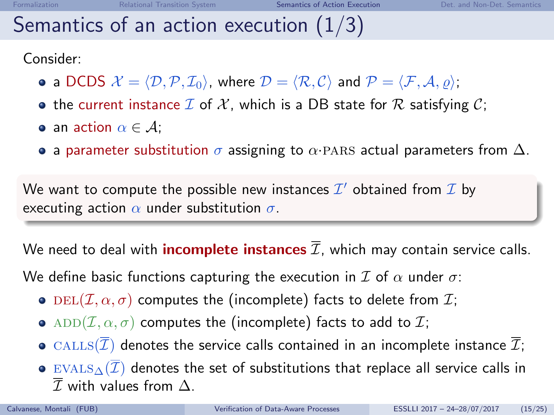## Semantics of an action execution  $(1/3)$

Consider:

- a DCDS  $\mathcal{X} = \langle \mathcal{D}, \mathcal{P}, \mathcal{I}_0 \rangle$ , where  $\mathcal{D} = \langle \mathcal{R}, \mathcal{C} \rangle$  and  $\mathcal{P} = \langle \mathcal{F}, \mathcal{A}, \varrho \rangle$ ;
- the current instance  $\mathcal I$  of  $\mathcal X$ , which is a DB state for  $\mathcal R$  satisfying  $\mathcal C$ ;
- an action  $\alpha \in \mathcal{A}$ :
- a parameter substitution  $\sigma$  assigning to  $\alpha$ ·PARS actual parameters from  $\Delta$ .

We want to compute the possible new instances  $\mathcal{I}'$  obtained from  $\mathcal{I}$  by executing action  $\alpha$  under substitution  $\sigma$ .

We need to deal with **incomplete instances**  $\overline{\mathcal{I}}$ , which may contain service calls.

We define basic functions capturing the execution in  $\mathcal I$  of  $\alpha$  under  $\sigma$ :

- $\bullet$  DEL( $\mathcal{I}, \alpha, \sigma$ ) computes the (incomplete) facts to delete from  $\mathcal{I}$ ;
- ADD $(\mathcal{I}, \alpha, \sigma)$  computes the (incomplete) facts to add to  $\mathcal{I}$ ;
- CALLS( $\overline{I}$ ) denotes the service calls contained in an incomplete instance  $\overline{I}$ ;
- EVALS $\wedge(\overline{\mathcal{I}})$  denotes the set of substitutions that replace all service calls in  $\overline{\mathcal{I}}$  with values from  $\Delta$ .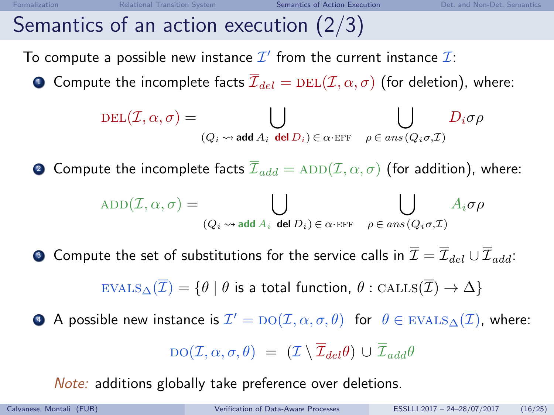# Semantics of an action execution (2/3)

To compute a possible new instance  $\mathcal{I}'$  from the current instance  $\mathcal{I}$ :

**O** Compute the incomplete facts  $\overline{\mathcal{I}}_{del} = \text{DEL}(\mathcal{I}, \alpha, \sigma)$  (for deletion), where:

$$
\mathrm{DEL}(\mathcal{I}, \alpha, \sigma) = \bigcup_{(Q_i \leadsto \operatorname{add} A_i \ \operatorname{del} D_i) \, \in \, \alpha \cdot \text{EFF}} \ \bigcup_{\rho \, \in \, \operatorname{ans}(Q_i \sigma, \mathcal{I})} D_i \sigma \rho
$$

**2** Compute the incomplete facts  $\overline{\mathcal{I}}_{add} = \text{ADD}(\mathcal{I}, \alpha, \sigma)$  (for addition), where:

$$
\text{ADD}(\mathcal{I}, \alpha, \sigma) = \bigcup_{(Q_i \leadsto \text{add } A_i \text{ del } D_i) \in \alpha \text{ c} \text{ EFF } } \bigcup_{\rho \in \text{ ans}(Q_i \sigma, \mathcal{I})} A_i \sigma \rho
$$

**3** Compute the set of substitutions for the service calls in  $\overline{\mathcal{I}} = \overline{\mathcal{I}}_{del} \cup \overline{\mathcal{I}}_{add}$ :

$$
\text{EVALS}_{\Delta}(\overline{\mathcal{I}}) = \{\theta \mid \theta \text{ is a total function, } \theta : \text{CALLS}(\overline{\mathcal{I}}) \rightarrow \Delta \}
$$

 $\bullet$  A possible new instance is  $\mathcal{I}'=\mathrm{DO}(\mathcal{I}, \alpha, \sigma, \theta)$  for  $\theta\in\mathrm{EVALS}_\Delta(\overline{\mathcal{I}})$ , where:

$$
\text{DO}(\mathcal{I}, \alpha, \sigma, \theta) = (\mathcal{I} \setminus \overline{\mathcal{I}}_{del}\theta) \cup \overline{\mathcal{I}}_{add}\theta
$$

Note: additions globally take preference over deletions.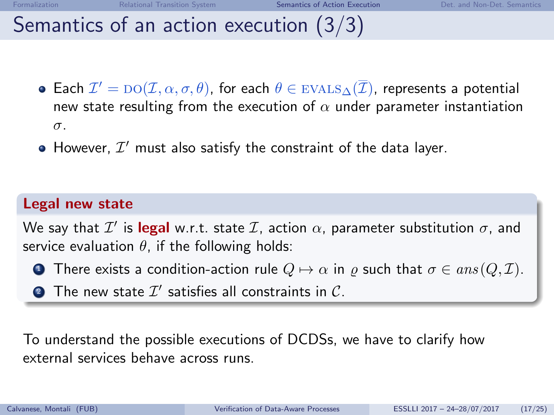# Semantics of an action execution (3/3)

- Each  $\mathcal{I}' = \mathrm{DO}(\mathcal{I}, \alpha, \sigma, \theta)$ , for each  $\theta \in \mathrm{EVALS}_\Delta(\overline{\mathcal{I}})$ , represents a potential new state resulting from the execution of  $\alpha$  under parameter instantiation σ.
- However,  $\mathcal{I}'$  must also satisfy the constraint of the data layer.

#### Legal new state

We say that  $\mathcal{I}'$  is legal w.r.t. state  $\mathcal{I}$ , action  $\alpha$ , parameter substitution  $\sigma$ , and service evaluation  $\theta$ , if the following holds:

- **1** There exists a condition-action rule  $Q \mapsto \alpha$  in  $\varrho$  such that  $\sigma \in ans(Q,\mathcal{I})$ .
- $\bullet$  The new state  $\mathcal{I}'$  satisfies all constraints in  $\mathcal{C}.$

To understand the possible executions of DCDSs, we have to clarify how external services behave across runs.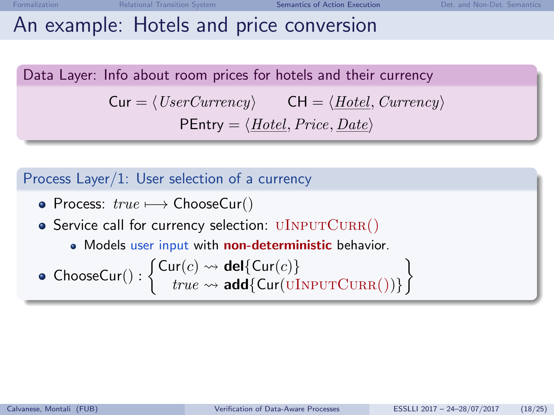#### An example: Hotels and price conversion

Data Layer: Info about room prices for hotels and their currency  $Cur = \langle UserCurrent \rangle$  CH =  $\langle Hotel, Current \rangle$  $P_{\text{Entry}} = \langle Hotel, Price, Date \rangle$ 

Process Layer/1: User selection of a currency

- Process: true  $\longmapsto$  ChooseCur()
- Service call for currency selection:  $\text{UINPUTCURR}()$ 
	- Models user input with non-deterministic behavior.

$$
\bullet \ \ \textsf{ChooseCur}(): \left\{ \begin{aligned} \textsf{Cur}(c) &\rightsquigarrow \textsf{del}\{\textsf{Cur}(c)\} \\ \textit{true} &\rightsquigarrow \textsf{add}\{\textsf{Cur}(\textsf{UINPUTCURR}))\} \end{aligned} \right\}
$$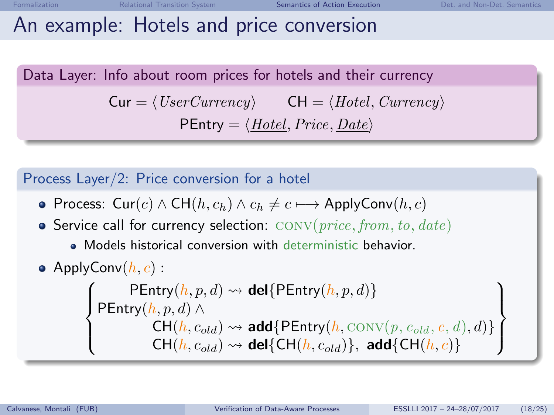## <span id="page-20-0"></span>An example: Hotels and price conversion

Data Layer: Info about room prices for hotels and their currency  $Cur = \langle UserCurrent \rangle$  CH =  $\langle Hotel, Current \rangle$  $P_{\text{Entry}} = \langle Hotel, Price, Date \rangle$ 

Process Layer/2: Price conversion for a hotel

- Process: Cur $(c) \wedge \text{CH}(h, c_h) \wedge c_h \neq c \longmapsto \text{ApplyConv}(h, c)$
- Service call for currency selection:  $CONV(price, from, to, date)$ 
	- Models historical conversion with deterministic behavior.

• ApplyConv
$$
(h, c)
$$
:

 $\sqrt{ }$  $\int$  $\overline{\mathcal{L}}$ PEntry $(h, p, d) \rightsquigarrow$  del{PEntry $(h, p, d)$ } PEntry $(h, p, d) \wedge$  $\mathsf{CH}(h,c_{old}) \rightsquigarrow \mathsf{add}\{\mathsf{PEntry}(h,\mathrm{CONV}(p,c_{old},c,d),d)\}$  $\mathsf{CH}(h, c_{old}) \rightsquigarrow \mathsf{del}\{\mathsf{CH}(h, c_{old})\}, \; \mathsf{add}\{\mathsf{CH}(h, c)\}$ 

 $\lambda$  $\overline{\mathcal{L}}$ 

 $\int$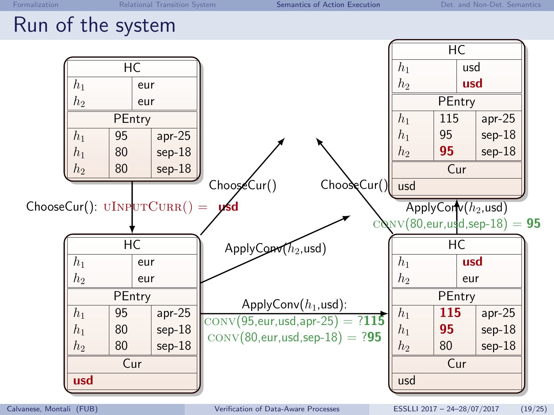#### Run of the system

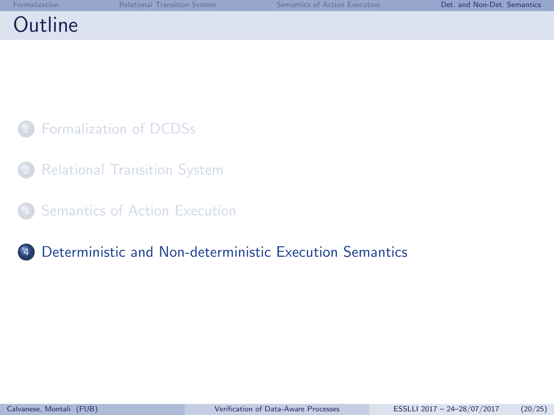## **Outline**

- [Formalization of DCDSs](#page-1-0)
- **[Relational Transition System](#page-15-0)**
- **[Semantics of Action Execution](#page-20-0)**

<sup>4</sup> [Deterministic and Non-deterministic Execution Semantics](#page-0-0)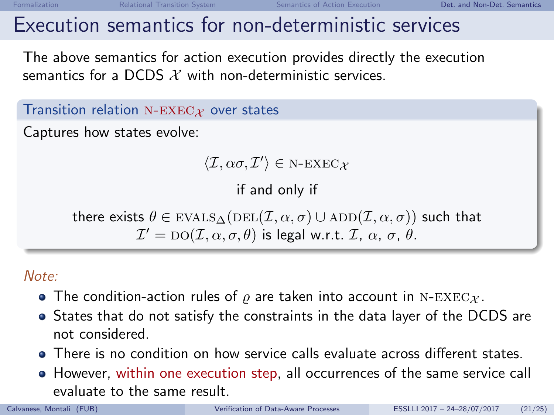## Execution semantics for non-deterministic services

The above semantics for action execution provides directly the execution semantics for a DCDS  $X$  with non-deterministic services.

Transition relation N-EXEC $\chi$  over states

Captures how states evolve:

 $\langle \mathcal{I}, \alpha \sigma, \mathcal{I}' \rangle \in \text{N-EXEC} \chi$ 

if and only if

there exists  $\theta \in$  EVALS $_{\Delta}(\text{DEL}(\mathcal{I}, \alpha, \sigma) \cup \text{ADD}(\mathcal{I}, \alpha, \sigma))$  such that  $\mathcal{I}' = \mathrm{DO}(\mathcal{I}, \alpha, \sigma, \theta)$  is legal w.r.t.  $\mathcal{I}, \alpha, \sigma, \theta$ .

Note:

- The condition-action rules of  $\rho$  are taken into account in N-EXEC<sub>X</sub>.
- States that do not satisfy the constraints in the data layer of the DCDS are not considered.
- There is no condition on how service calls evaluate across different states.
- However, within one execution step, all occurrences of the same service call evaluate to the same result.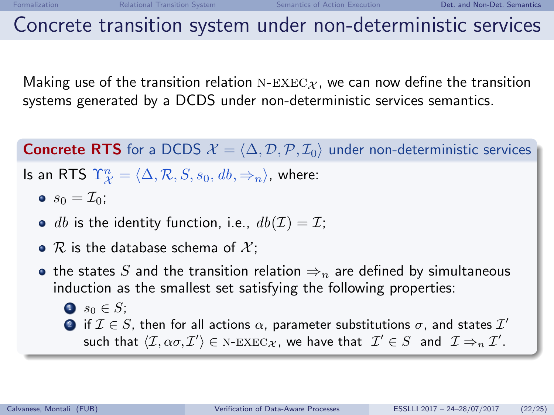## Concrete transition system under non-deterministic services

Making use of the transition relation N- $\text{EXEC}_{\mathcal{X}}$ , we can now define the transition systems generated by a DCDS under non-deterministic services semantics.

**Concrete RTS** for a DCDS  $\mathcal{X} = \langle \Delta, \mathcal{D}, \mathcal{P}, \mathcal{I}_0 \rangle$  under non-deterministic services Is an RTS  $\Upsilon_{\mathcal{X}}^n = \langle \Delta, \mathcal{R}, S, s_0, db, \Rightarrow_n \rangle$ , where:

- $s_0 = \mathcal{I}_0;$
- $\bullet$  db is the identity function, i.e.,  $db(\mathcal{I}) = \mathcal{I}$ ;
- $R$  is the database schema of  $\mathcal{X}$ :
- the states S and the transition relation  $\Rightarrow_n$  are defined by simultaneous induction as the smallest set satisfying the following properties:
	- $\bullet$  s<sub>0</sub>  $\in$  S;
	- $2$  if  $\mathcal{I} \in S$ , then for all actions  $\alpha$ , parameter substitutions  $\sigma$ , and states  $\mathcal{I}'$ such that  $\langle \mathcal{I}, \alpha \sigma, \mathcal{I}' \rangle \in N\text{-}E \text{XEC}_{\mathcal{X}}$ , we have that  $\mathcal{I}' \in S$  and  $\mathcal{I} \Rightarrow_n \mathcal{I}'.$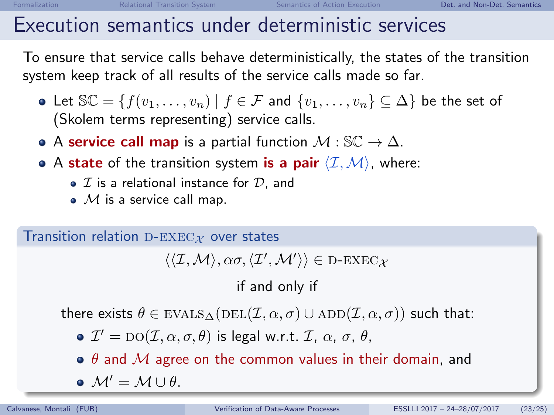## Execution semantics under deterministic services

To ensure that service calls behave deterministically, the states of the transition system keep track of all results of the service calls made so far.

- Let  $\mathbb{SC} = \{f(v_1,\ldots,v_n) \mid f \in \mathcal{F} \text{ and } \{v_1,\ldots,v_n\} \subseteq \Delta\}$  be the set of (Skolem terms representing) service calls.
- A service call map is a partial function  $M : \mathbb{SC} \to \Delta$ .
- A state of the transition system is a pair  $\langle I, M \rangle$ , where:
	- $\bullet$   $I$  is a relational instance for  $D$ , and
	- $\bullet$  M is a service call map.

Transition relation  $D$ -EXEC $\chi$  over states

 $\langle\langle \mathcal{I},\mathcal{M}\rangle,\alpha\sigma,\langle \mathcal{I}',\mathcal{M}'\rangle\rangle\in \text{D-EXEC}_{\mathcal{X}}$ 

if and only if

there exists  $\theta \in$  EVALS<sub>A</sub>(DEL(I,  $\alpha$ ,  $\sigma$ ) ∪ ADD(I,  $\alpha$ ,  $\sigma$ )) such that:

 $\mathcal{I}' = \mathrm{DO}(\mathcal{I}, \alpha, \sigma, \theta)$  is legal w.r.t.  $\mathcal{I}, \alpha, \sigma, \theta$ ,

 $\theta$  and M agree on the common values in their domain, and

 $M' = M \cup \theta$ .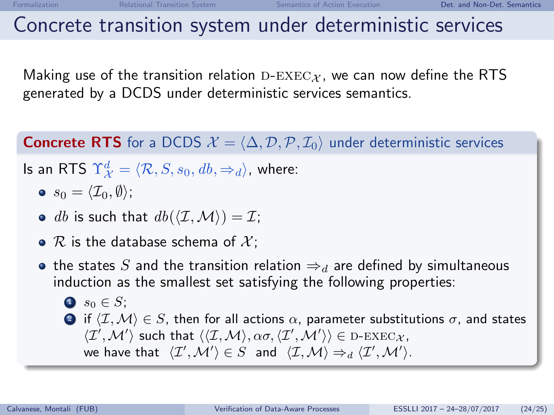### Concrete transition system under deterministic services

Making use of the transition relation  $D$ -EXEC<sub>X</sub>, we can now define the RTS generated by a DCDS under deterministic services semantics.

#### **Concrete RTS** for a DCDS  $\mathcal{X} = \langle \Delta, \mathcal{D}, \mathcal{P}, \mathcal{I}_0 \rangle$  under deterministic services

Is an RTS  $\Upsilon^d_{\mathcal{X}} = \langle \mathcal{R}, S, s_0, db, \Rightarrow_d \rangle$ , where:

- $s_0 = \langle \mathcal{I}_0, \emptyset \rangle;$
- $\bullet$  db is such that  $db(\langle I, \mathcal{M} \rangle) = I;$
- $R$  is the database schema of  $\mathcal{X}$ ;
- the states S and the transition relation  $\Rightarrow_d$  are defined by simultaneous induction as the smallest set satisfying the following properties:

```
\bullet s<sub>0</sub> \in S;
2 if \langle \mathcal{I}, \mathcal{M} \rangle \in S, then for all actions \alpha, parameter substitutions \sigma, and states
         \langle \mathcal{I}', \mathcal{M}' \rangle such that \langle \langle \mathcal{I}, \mathcal{M} \rangle, \alpha \sigma, \langle \mathcal{I}', \mathcal{M}' \rangle \rangle \in D\text{-}E \text{XEC} \chi,
         we have that \langle \mathcal{I}', \mathcal{M}' \rangle \in S and \langle \mathcal{I}, \mathcal{M} \rangle \Rightarrow_d \langle \mathcal{I}', \mathcal{M}' \rangle.
```